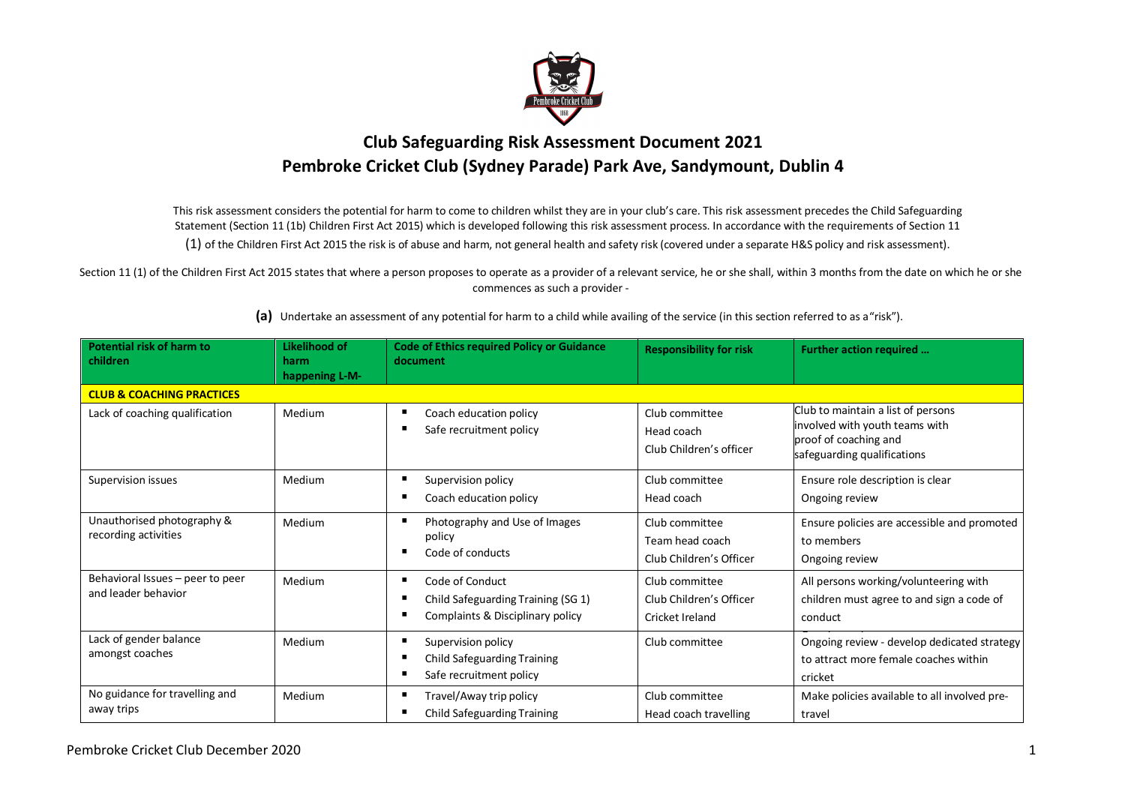

## **Club Safeguarding Risk Assessment Document 2021 Pembroke Cricket Club (Sydney Parade) Park Ave, Sandymount, Dublin 4**

This risk assessment considers the potential for harm to come to children whilst they are in your club's care. This risk assessment precedes the Child Safeguarding Statement (Section 11 (1b) Children First Act 2015) which is developed following this risk assessment process. In accordance with the requirements of Section 11 (1) of the Children First Act 2015 the risk is of abuse and harm, not general health and safety risk (covered under a separate H&S policy and risk assessment).

Section 11 (1) of the Children First Act 2015 states that where a person proposes to operate as a provider of a relevant service, he or she shall, within 3 months from the date on which he or she commences as such a provider -

| Potential risk of harm to<br>children                   | Likelihood of<br>harm<br>happening L-M- | <b>Code of Ethics required Policy or Guidance</b><br>document                             | <b>Responsibility for risk</b>                               | Further action required                                                                                                      |
|---------------------------------------------------------|-----------------------------------------|-------------------------------------------------------------------------------------------|--------------------------------------------------------------|------------------------------------------------------------------------------------------------------------------------------|
| <b>CLUB &amp; COACHING PRACTICES</b>                    |                                         |                                                                                           |                                                              |                                                                                                                              |
| Lack of coaching qualification                          | Medium                                  | Coach education policy<br>Safe recruitment policy                                         | Club committee<br>Head coach<br>Club Children's officer      | Club to maintain a list of persons<br>involved with youth teams with<br>proof of coaching and<br>safeguarding qualifications |
| Supervision issues                                      | Medium                                  | Supervision policy<br>Coach education policy                                              | Club committee<br>Head coach                                 | Ensure role description is clear<br>Ongoing review                                                                           |
| Unauthorised photography &<br>recording activities      | Medium                                  | Photography and Use of Images<br>policy<br>Code of conducts                               | Club committee<br>Team head coach<br>Club Children's Officer | Ensure policies are accessible and promoted<br>to members<br>Ongoing review                                                  |
| Behavioral Issues - peer to peer<br>and leader behavior | Medium                                  | Code of Conduct<br>Child Safeguarding Training (SG 1)<br>Complaints & Disciplinary policy | Club committee<br>Club Children's Officer<br>Cricket Ireland | All persons working/volunteering with<br>children must agree to and sign a code of<br>conduct                                |
| Lack of gender balance<br>amongst coaches               | Medium                                  | Supervision policy<br><b>Child Safeguarding Training</b><br>Safe recruitment policy       | Club committee                                               | Ongoing review - develop dedicated strategy<br>to attract more female coaches within<br>cricket                              |
| No guidance for travelling and<br>away trips            | Medium                                  | Travel/Away trip policy<br><b>Child Safeguarding Training</b>                             | Club committee<br>Head coach travelling                      | Make policies available to all involved pre-<br>travel                                                                       |

**(a)** Undertake an assessment of any potential for harm to a child while availing of the service (in this section referred to as a"risk").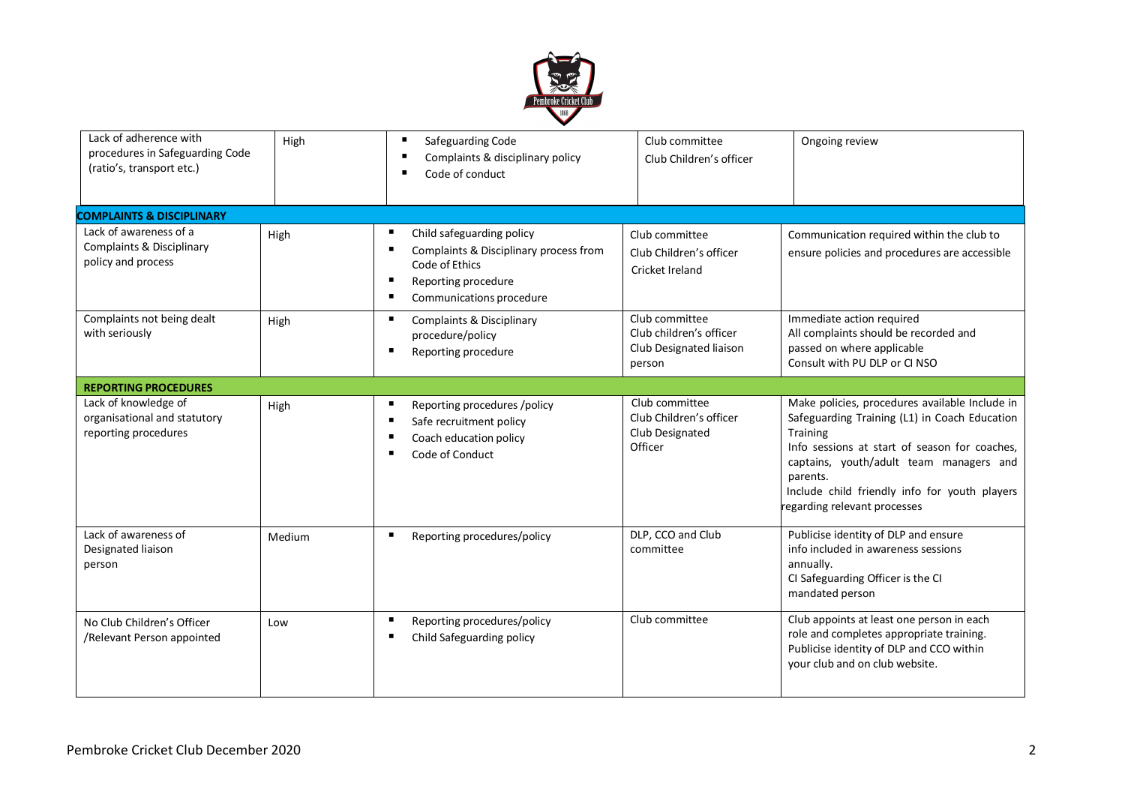

| Lack of adherence with<br>procedures in Safeguarding Code<br>(ratio's, transport etc.) | High   | Safeguarding Code<br>Complaints & disciplinary policy<br>Code of conduct                                                                 | Club committee<br>Club Children's officer                                      | Ongoing review                                                                                                                                                                                                                                                                                       |
|----------------------------------------------------------------------------------------|--------|------------------------------------------------------------------------------------------------------------------------------------------|--------------------------------------------------------------------------------|------------------------------------------------------------------------------------------------------------------------------------------------------------------------------------------------------------------------------------------------------------------------------------------------------|
| <b>COMPLAINTS &amp; DISCIPLINARY</b>                                                   |        |                                                                                                                                          |                                                                                |                                                                                                                                                                                                                                                                                                      |
| Lack of awareness of a<br>Complaints & Disciplinary<br>policy and process              | High   | Child safeguarding policy<br>Complaints & Disciplinary process from<br>Code of Ethics<br>Reporting procedure<br>Communications procedure | Club committee<br>Club Children's officer<br>Cricket Ireland                   | Communication required within the club to<br>ensure policies and procedures are accessible                                                                                                                                                                                                           |
| Complaints not being dealt<br>with seriously                                           | High   | Complaints & Disciplinary<br>п<br>procedure/policy<br>Reporting procedure<br>Е                                                           | Club committee<br>Club children's officer<br>Club Designated liaison<br>person | Immediate action required<br>All complaints should be recorded and<br>passed on where applicable<br>Consult with PU DLP or CI NSO                                                                                                                                                                    |
| <b>REPORTING PROCEDURES</b>                                                            |        |                                                                                                                                          |                                                                                |                                                                                                                                                                                                                                                                                                      |
| Lack of knowledge of<br>organisational and statutory<br>reporting procedures           | High   | Reporting procedures /policy<br>Safe recruitment policy<br>Coach education policy<br>Code of Conduct                                     | Club committee<br>Club Children's officer<br>Club Designated<br>Officer        | Make policies, procedures available Include in<br>Safeguarding Training (L1) in Coach Education<br>Training<br>Info sessions at start of season for coaches.<br>captains, youth/adult team managers and<br>parents.<br>Include child friendly info for youth players<br>regarding relevant processes |
| Lack of awareness of<br>Designated liaison<br>person                                   | Medium | Reporting procedures/policy                                                                                                              | DLP, CCO and Club<br>committee                                                 | Publicise identity of DLP and ensure<br>info included in awareness sessions<br>annually.<br>CI Safeguarding Officer is the CI<br>mandated person                                                                                                                                                     |
| No Club Children's Officer<br>/Relevant Person appointed                               | Low    | Reporting procedures/policy<br>Child Safeguarding policy                                                                                 | Club committee                                                                 | Club appoints at least one person in each<br>role and completes appropriate training.<br>Publicise identity of DLP and CCO within<br>your club and on club website.                                                                                                                                  |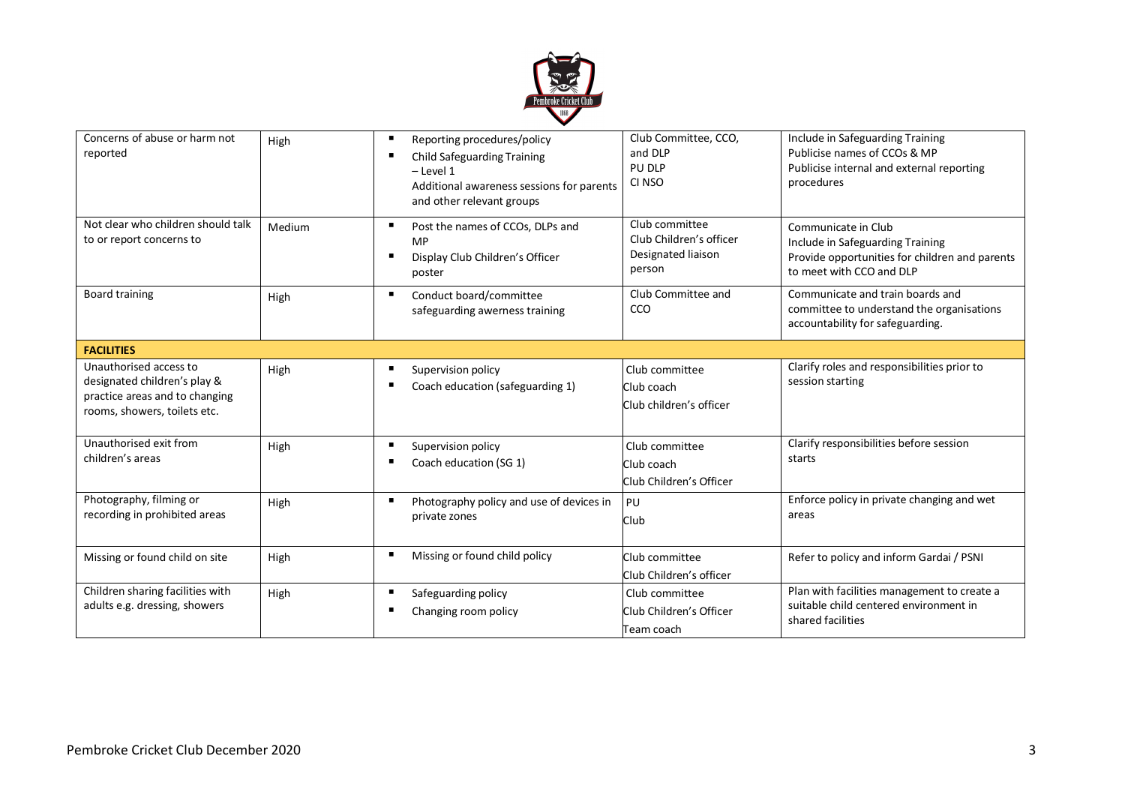

| Concerns of abuse or harm not<br>reported                                                                                | High   |                     | Reporting procedures/policy<br><b>Child Safeguarding Training</b><br>$-$ Level 1<br>Additional awareness sessions for parents<br>and other relevant groups | Club Committee, CCO,<br>and DLP<br>PU DLP<br>CI NSO                       | Include in Safeguarding Training<br>Publicise names of CCOs & MP<br>Publicise internal and external reporting<br>procedures           |
|--------------------------------------------------------------------------------------------------------------------------|--------|---------------------|------------------------------------------------------------------------------------------------------------------------------------------------------------|---------------------------------------------------------------------------|---------------------------------------------------------------------------------------------------------------------------------------|
| Not clear who children should talk<br>to or report concerns to                                                           | Medium | п<br>$\blacksquare$ | Post the names of CCOs, DLPs and<br><b>MP</b><br>Display Club Children's Officer<br>poster                                                                 | Club committee<br>Club Children's officer<br>Designated liaison<br>person | Communicate in Club<br>Include in Safeguarding Training<br>Provide opportunities for children and parents<br>to meet with CCO and DLP |
| <b>Board training</b>                                                                                                    | High   |                     | Conduct board/committee<br>safeguarding awerness training                                                                                                  | Club Committee and<br>CCO                                                 | Communicate and train boards and<br>committee to understand the organisations<br>accountability for safeguarding.                     |
| <b>FACILITIES</b>                                                                                                        |        |                     |                                                                                                                                                            |                                                                           |                                                                                                                                       |
| Unauthorised access to<br>designated children's play &<br>practice areas and to changing<br>rooms, showers, toilets etc. | High   |                     | Supervision policy<br>Coach education (safeguarding 1)                                                                                                     | Club committee<br>Club coach<br>Club children's officer                   | Clarify roles and responsibilities prior to<br>session starting                                                                       |
| Unauthorised exit from<br>children's areas                                                                               | High   |                     | Supervision policy<br>Coach education (SG 1)                                                                                                               | Club committee<br>Club coach<br>Club Children's Officer                   | Clarify responsibilities before session<br>starts                                                                                     |
| Photography, filming or<br>recording in prohibited areas                                                                 | High   |                     | Photography policy and use of devices in<br>private zones                                                                                                  | PU<br>Club                                                                | Enforce policy in private changing and wet<br>areas                                                                                   |
| Missing or found child on site                                                                                           | High   | п                   | Missing or found child policy                                                                                                                              | Club committee<br>Club Children's officer                                 | Refer to policy and inform Gardai / PSNI                                                                                              |
| Children sharing facilities with<br>adults e.g. dressing, showers                                                        | High   | $\blacksquare$      | Safeguarding policy<br>Changing room policy                                                                                                                | Club committee<br>Club Children's Officer<br>Team coach                   | Plan with facilities management to create a<br>suitable child centered environment in<br>shared facilities                            |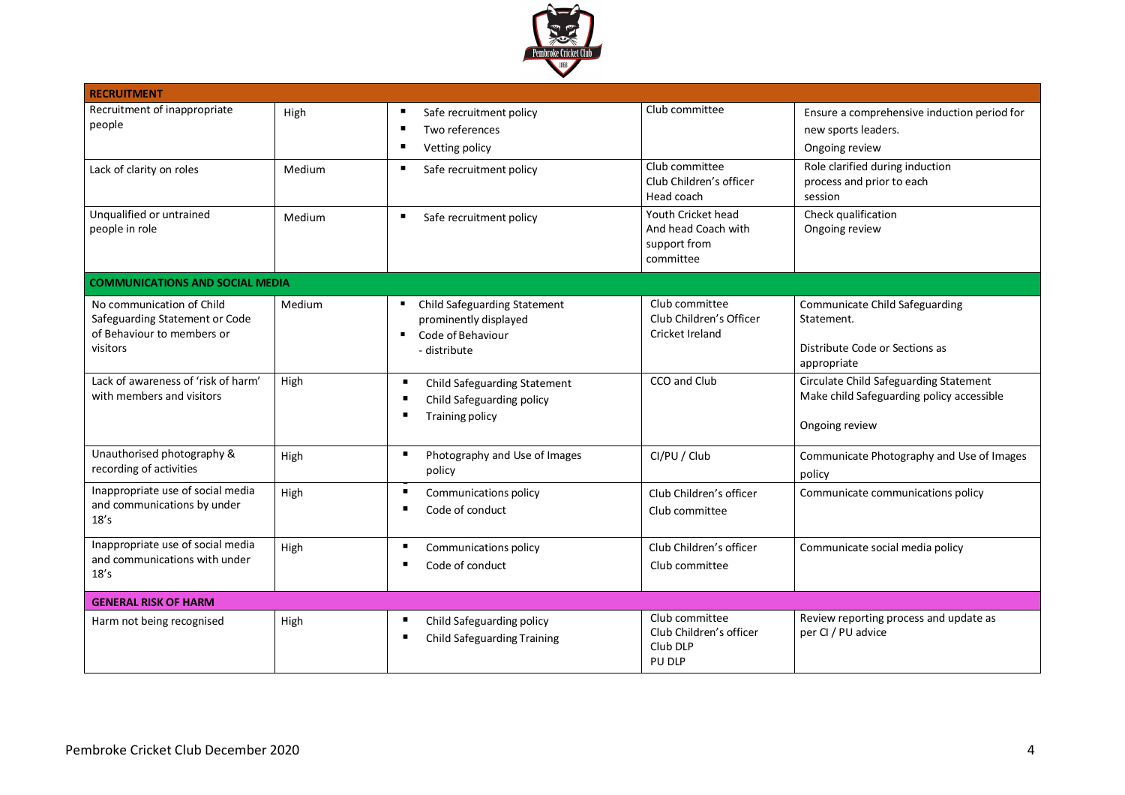

| <b>RECRUITMENT</b>                                                                                    |        |                                                                                                              |                                                                        |                                                                                                       |
|-------------------------------------------------------------------------------------------------------|--------|--------------------------------------------------------------------------------------------------------------|------------------------------------------------------------------------|-------------------------------------------------------------------------------------------------------|
| Recruitment of inappropriate<br>people                                                                | High   | Safe recruitment policy<br>Two references<br>Vetting policy<br>٠                                             | Club committee                                                         | Ensure a comprehensive induction period for<br>new sports leaders.<br>Ongoing review                  |
| Lack of clarity on roles                                                                              | Medium | Safe recruitment policy<br>٠                                                                                 | Club committee<br>Club Children's officer<br>Head coach                | Role clarified during induction<br>process and prior to each<br>session                               |
| Unqualified or untrained<br>people in role                                                            | Medium | ٠<br>Safe recruitment policy                                                                                 | Youth Cricket head<br>And head Coach with<br>support from<br>committee | Check qualification<br>Ongoing review                                                                 |
| <b>COMMUNICATIONS AND SOCIAL MEDIA</b>                                                                |        |                                                                                                              |                                                                        |                                                                                                       |
| No communication of Child<br>Safeguarding Statement or Code<br>of Behaviour to members or<br>visitors | Medium | Child Safeguarding Statement<br>prominently displayed<br>Code of Behaviour<br>$\blacksquare$<br>- distribute | Club committee<br>Club Children's Officer<br>Cricket Ireland           | Communicate Child Safeguarding<br>Statement.<br>Distribute Code or Sections as<br>appropriate         |
| Lack of awareness of 'risk of harm'<br>with members and visitors                                      | High   | $\blacksquare$<br>Child Safeguarding Statement<br>Child Safeguarding policy<br>п<br><b>Training policy</b>   | CCO and Club                                                           | Circulate Child Safeguarding Statement<br>Make child Safeguarding policy accessible<br>Ongoing review |
| Unauthorised photography &<br>recording of activities                                                 | High   | $\blacksquare$<br>Photography and Use of Images<br>policy                                                    | CI/PU / Club                                                           | Communicate Photography and Use of Images<br>policy                                                   |
| Inappropriate use of social media<br>and communications by under<br>18's                              | High   | $\blacksquare$<br>Communications policy<br>Code of conduct<br>п                                              | Club Children's officer<br>Club committee                              | Communicate communications policy                                                                     |
| Inappropriate use of social media<br>and communications with under<br>18's                            | High   | $\blacksquare$<br>Communications policy<br>Code of conduct                                                   | Club Children's officer<br>Club committee                              | Communicate social media policy                                                                       |
| <b>GENERAL RISK OF HARM</b>                                                                           |        |                                                                                                              |                                                                        |                                                                                                       |
| Harm not being recognised                                                                             | High   | Child Safeguarding policy<br><b>Child Safeguarding Training</b>                                              | Club committee<br>Club Children's officer<br>Club DLP<br>PU DLP        | Review reporting process and update as<br>per CI / PU advice                                          |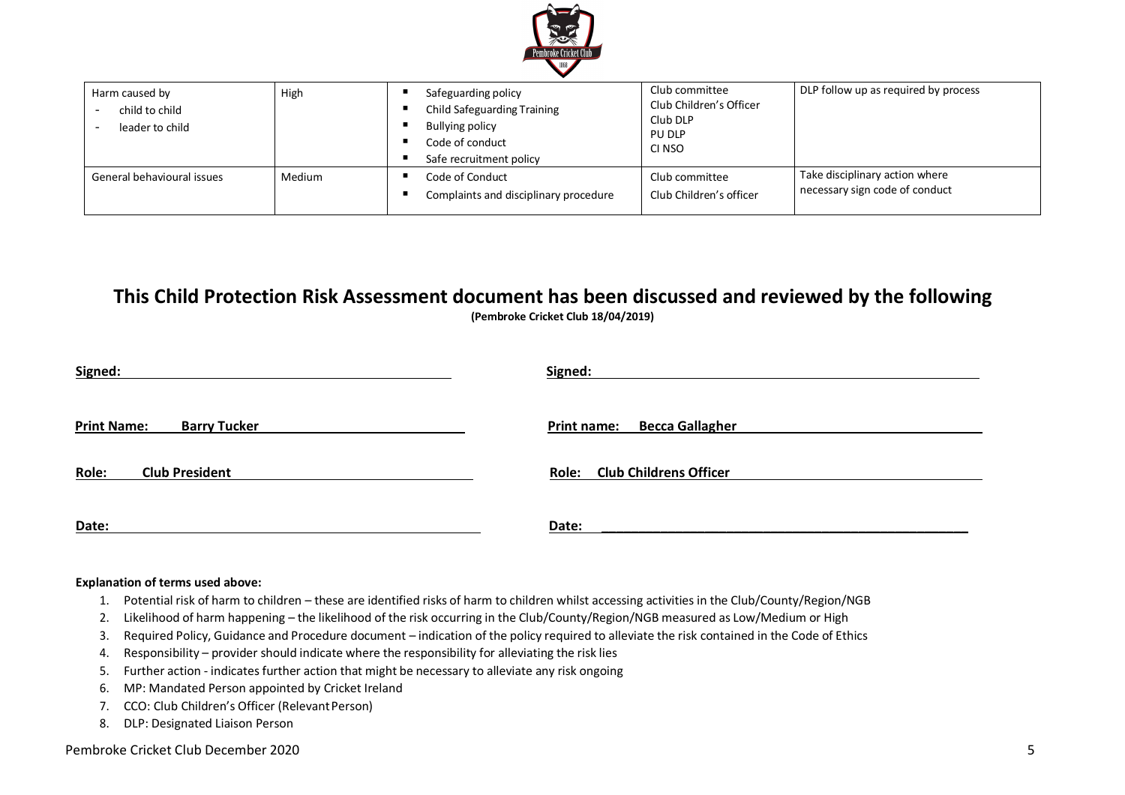

| Harm caused by<br>child to child<br>leader to child | High   | Safeguarding policy<br>Child Safeguarding Training<br><b>Bullying policy</b><br>Code of conduct<br>Safe recruitment policy | Club committee<br>Club Children's Officer<br>Club DLP<br>PU DLP<br>CI NSO | DLP follow up as required by process                             |
|-----------------------------------------------------|--------|----------------------------------------------------------------------------------------------------------------------------|---------------------------------------------------------------------------|------------------------------------------------------------------|
| General behavioural issues                          | Medium | Code of Conduct<br>Complaints and disciplinary procedure                                                                   | Club committee<br>Club Children's officer                                 | Take disciplinary action where<br>necessary sign code of conduct |

## **This Child Protection Risk Assessment document has been discussed and reviewed by the following (Pembroke Cricket Club 18/04/2019)**

| Signed:                                   | Signed:                                      |
|-------------------------------------------|----------------------------------------------|
|                                           |                                              |
| <b>Print Name:</b><br><b>Barry Tucker</b> | <b>Becca Gallagher</b><br><b>Print name:</b> |
|                                           |                                              |
| <b>Club President</b><br>Role:            | Role: Club Childrens Officer                 |
|                                           |                                              |
| Date:                                     | Date:                                        |

## **Explanation of terms used above:**

- 1. Potential risk of harm to children these are identified risks of harm to children whilst accessing activities in the Club/County/Region/NGB
- 2. Likelihood of harm happening the likelihood of the risk occurring in the Club/County/Region/NGB measured as Low/Medium or High
- 3. Required Policy, Guidance and Procedure document indication of the policy required to alleviate the risk contained in the Code of Ethics
- 4. Responsibility provider should indicate where the responsibility for alleviating the risk lies
- 5. Further action indicates further action that might be necessary to alleviate any risk ongoing
- 6. MP: Mandated Person appointed by Cricket Ireland
- 7. CCO: Club Children's Officer (RelevantPerson)
- 8. DLP: Designated Liaison Person

## Pembroke Cricket Club December 2020 5